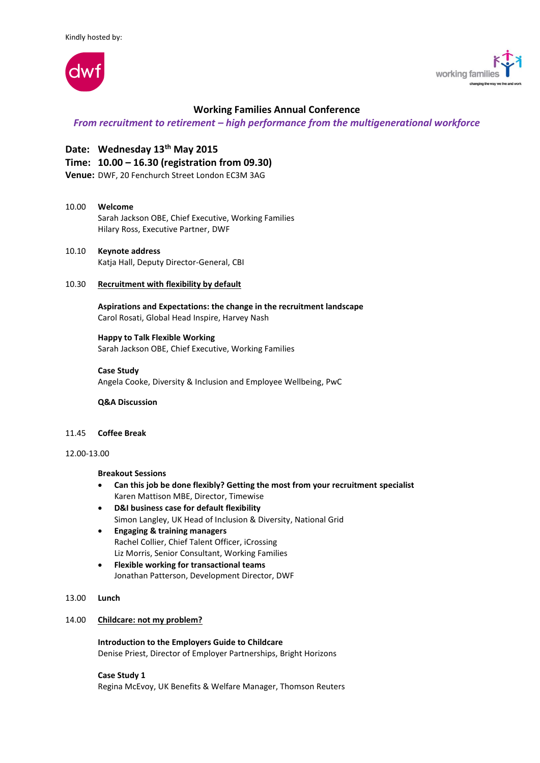



# **Working Families Annual Conference**

# *From recruitment to retirement – high performance from the multigenerational workforce*

# **Date: Wednesday 13th May 2015**

# **Time: 10.00 – 16.30 (registration from 09.30)**

**Venue:** DWF, 20 Fenchurch Street London EC3M 3AG

### 10.00 **Welcome**

Sarah Jackson OBE, Chief Executive, Working Families Hilary Ross, Executive Partner, DWF

10.10 **Keynote address** Katja Hall, Deputy Director-General, CBI

#### 10.30 **Recruitment with flexibility by default**

**Aspirations and Expectations: the change in the recruitment landscape** Carol Rosati, Global Head Inspire, Harvey Nash

# **Happy to Talk Flexible Working**

Sarah Jackson OBE, Chief Executive, Working Families

# **Case Study**

Angela Cooke, Diversity & Inclusion and Employee Wellbeing, PwC

**Q&A Discussion**

## 11.45 **Coffee Break**

## 12.00-13.00

#### **Breakout Sessions**

- **Can this job be done flexibly? Getting the most from your recruitment specialist** Karen Mattison MBE, Director, Timewise
- **D&I business case for default flexibility** Simon Langley, UK Head of Inclusion & Diversity, National Grid
- **Engaging & training managers** Rachel Collier, Chief Talent Officer, iCrossing Liz Morris, Senior Consultant, Working Families
- **Flexible working for transactional teams** Jonathan Patterson, Development Director, DWF

#### 13.00 **Lunch**

#### 14.00 **Childcare: not my problem?**

**Introduction to the Employers Guide to Childcare** Denise Priest, Director of Employer Partnerships, Bright Horizons

#### **Case Study 1**

Regina McEvoy, UK Benefits & Welfare Manager, Thomson Reuters